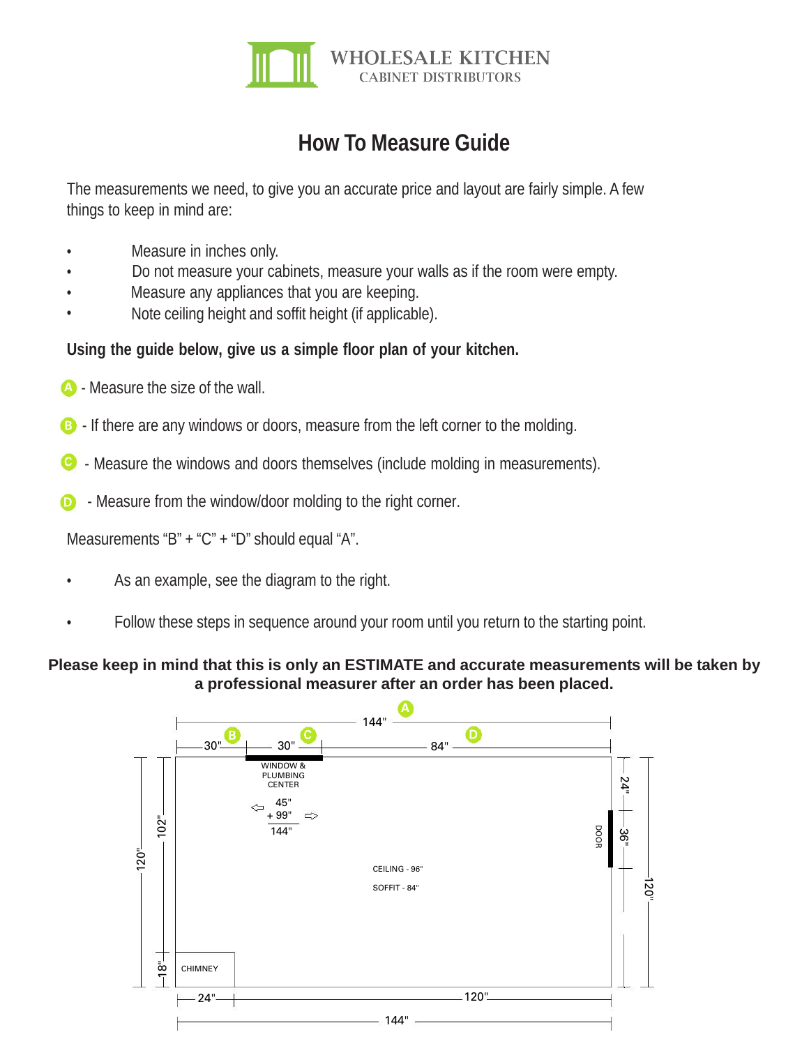

## **How To Measure Guide**

The measurements we need, to give you an accurate price and layout are fairly simple. A few things to keep in mind are:

- Measure in inches only.
- Do not measure your cabinets, measure your walls as if the room were empty.
- Measure any appliances that you are keeping.
- Note ceiling height and soffit height (if applicable).

## **Using the guide below, give us a simple floor plan of your kitchen.**

- **A** Measure the size of the wall.
- B If there are any windows or doors, measure from the left corner to the molding.
- C Measure the windows and doors themselves (include molding in measurements).
- Measure from the window/door molding to the right corner.  $\bf{D}$

Measurements "B" + "C" + "D" should equal "A".

- As an example, see the diagram to the right.
- Follow these steps in sequence around your room until you return to the starting point.

## **Please keep in mind that this is only an ESTIMATE and accurate measurements will be taken by a professional measurer after an order has been placed.**